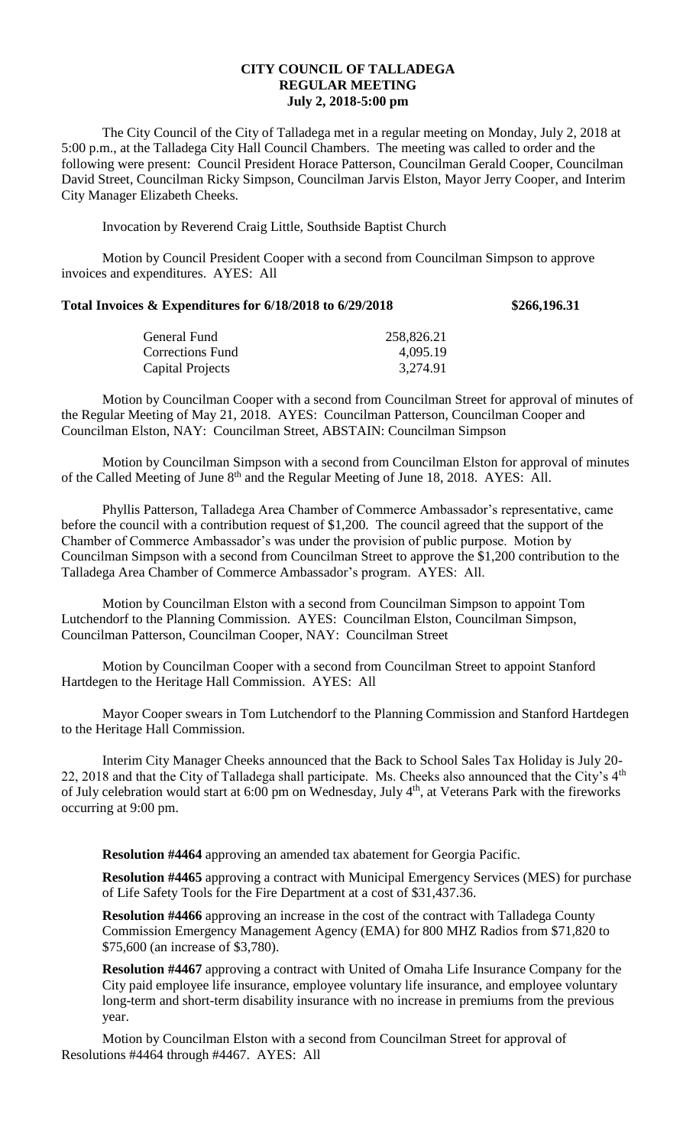## **CITY COUNCIL OF TALLADEGA REGULAR MEETING July 2, 2018-5:00 pm**

The City Council of the City of Talladega met in a regular meeting on Monday, July 2, 2018 at 5:00 p.m., at the Talladega City Hall Council Chambers. The meeting was called to order and the following were present: Council President Horace Patterson, Councilman Gerald Cooper, Councilman David Street, Councilman Ricky Simpson, Councilman Jarvis Elston, Mayor Jerry Cooper, and Interim City Manager Elizabeth Cheeks.

Invocation by Reverend Craig Little, Southside Baptist Church

Motion by Council President Cooper with a second from Councilman Simpson to approve invoices and expenditures. AYES: All

## **Total Invoices & Expenditures for 6/18/2018 to 6/29/2018 \$266,196.31**

| General Fund     | 258,826.21 |
|------------------|------------|
| Corrections Fund | 4,095.19   |
| Capital Projects | 3,274.91   |

Motion by Councilman Cooper with a second from Councilman Street for approval of minutes of the Regular Meeting of May 21, 2018. AYES: Councilman Patterson, Councilman Cooper and Councilman Elston, NAY: Councilman Street, ABSTAIN: Councilman Simpson

Motion by Councilman Simpson with a second from Councilman Elston for approval of minutes of the Called Meeting of June  $8<sup>th</sup>$  and the Regular Meeting of June 18, 2018. AYES: All.

Phyllis Patterson, Talladega Area Chamber of Commerce Ambassador's representative, came before the council with a contribution request of \$1,200. The council agreed that the support of the Chamber of Commerce Ambassador's was under the provision of public purpose. Motion by Councilman Simpson with a second from Councilman Street to approve the \$1,200 contribution to the Talladega Area Chamber of Commerce Ambassador's program. AYES: All.

Motion by Councilman Elston with a second from Councilman Simpson to appoint Tom Lutchendorf to the Planning Commission. AYES: Councilman Elston, Councilman Simpson, Councilman Patterson, Councilman Cooper, NAY: Councilman Street

Motion by Councilman Cooper with a second from Councilman Street to appoint Stanford Hartdegen to the Heritage Hall Commission. AYES: All

Mayor Cooper swears in Tom Lutchendorf to the Planning Commission and Stanford Hartdegen to the Heritage Hall Commission.

Interim City Manager Cheeks announced that the Back to School Sales Tax Holiday is July 20- 22, 2018 and that the City of Talladega shall participate. Ms. Cheeks also announced that the City's 4<sup>th</sup> of July celebration would start at 6:00 pm on Wednesday, July 4th, at Veterans Park with the fireworks occurring at 9:00 pm.

**Resolution #4464** approving an amended tax abatement for Georgia Pacific.

**Resolution #4465** approving a contract with Municipal Emergency Services (MES) for purchase of Life Safety Tools for the Fire Department at a cost of \$31,437.36.

**Resolution #4466** approving an increase in the cost of the contract with Talladega County Commission Emergency Management Agency (EMA) for 800 MHZ Radios from \$71,820 to \$75,600 (an increase of \$3,780).

**Resolution #4467** approving a contract with United of Omaha Life Insurance Company for the City paid employee life insurance, employee voluntary life insurance, and employee voluntary long-term and short-term disability insurance with no increase in premiums from the previous year.

Motion by Councilman Elston with a second from Councilman Street for approval of Resolutions #4464 through #4467. AYES: All